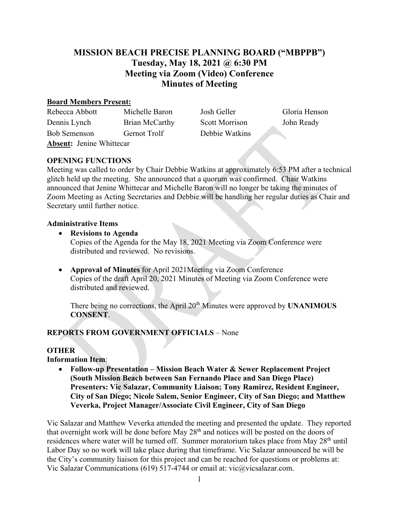# **MISSION BEACH PRECISE PLANNING BOARD ("MBPPB") Tuesday, May 18, 2021 @ 6:30 PM Meeting via Zoom (Video) Conference Minutes of Meeting**

#### **Board Members Present:**

Rebecca Abbott Michelle Baron Josh Geller Gloria Henson Dennis Lynch Brian McCarthy Scott Morrison John Ready Bob Semenson Gernot Trolf Debbie Watkins **Absent:** Jenine Whittecar

# **OPENING FUNCTIONS**

Meeting was called to order by Chair Debbie Watkins at approximately 6:53 PM after a technical glitch held up the meeting. She announced that a quorum was confirmed. Chair Watkins announced that Jenine Whittecar and Michelle Baron will no longer be taking the minutes of Zoom Meeting as Acting Secretaries and Debbie will be handling her regular duties as Chair and Secretary until further notice.

#### **Administrative Items**

- **Revisions to Agenda**  Copies of the Agenda for the May 18, 2021 Meeting via Zoom Conference were distributed and reviewed. No revisions.
- **Approval of Minutes** for April 2021Meeting via Zoom Conference Copies of the draft April 20, 2021 Minutes of Meeting via Zoom Conference were distributed and reviewed.

There being no corrections, the April 20<sup>th</sup> Minutes were approved by **UNANIMOUS CONSENT**.

# **REPORTS FROM GOVERNMENT OFFICIALS** – None

# **OTHER**

**Information Item**:

• **Follow-up Presentation – Mission Beach Water & Sewer Replacement Project (South Mission Beach between San Fernando Place and San Diego Place) Presenters: Vic Salazar, Community Liaison; Tony Ramirez, Resident Engineer, City of San Diego; Nicole Salem, Senior Engineer, City of San Diego; and Matthew Veverka, Project Manager/Associate Civil Engineer, City of San Diego**

Vic Salazar and Matthew Veverka attended the meeting and presented the update. They reported that overnight work will be done before May 28<sup>th</sup> and notices will be posted on the doors of residences where water will be turned off. Summer moratorium takes place from May 28<sup>th</sup> until Labor Day so no work will take place during that timeframe. Vic Salazar announced he will be the City's community liaison for this project and can be reached for questions or problems at: Vic Salazar Communications (619) 517-4744 or email at: vic@vicsalazar.com.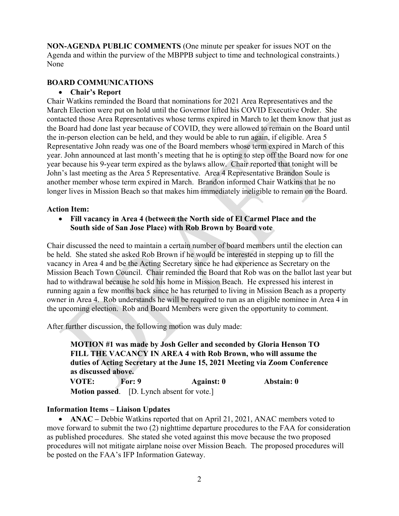**NON-AGENDA PUBLIC COMMENTS** (One minute per speaker for issues NOT on the Agenda and within the purview of the MBPPB subject to time and technological constraints.) None

# **BOARD COMMUNICATIONS**

#### • **Chair's Report**

Chair Watkins reminded the Board that nominations for 2021 Area Representatives and the March Election were put on hold until the Governor lifted his COVID Executive Order. She contacted those Area Representatives whose terms expired in March to let them know that just as the Board had done last year because of COVID, they were allowed to remain on the Board until the in-person election can be held, and they would be able to run again, if eligible. Area 5 Representative John ready was one of the Board members whose term expired in March of this year. John announced at last month's meeting that he is opting to step off the Board now for one year because his 9-year term expired as the bylaws allow. Chair reported that tonight will be John's last meeting as the Area 5 Representative. Area 4 Representative Brandon Soule is another member whose term expired in March. Brandon informed Chair Watkins that he no longer lives in Mission Beach so that makes him immediately ineligible to remain on the Board.

#### **Action Item:**

• **Fill vacancy in Area 4 (between the North side of El Carmel Place and the South side of San Jose Place) with Rob Brown by Board vote** 

Chair discussed the need to maintain a certain number of board members until the election can be held. She stated she asked Rob Brown if he would be interested in stepping up to fill the vacancy in Area 4 and be the Acting Secretary since he had experience as Secretary on the Mission Beach Town Council. Chair reminded the Board that Rob was on the ballot last year but had to withdrawal because he sold his home in Mission Beach. He expressed his interest in running again a few months back since he has returned to living in Mission Beach as a property owner in Area 4. Rob understands he will be required to run as an eligible nominee in Area 4 in the upcoming election. Rob and Board Members were given the opportunity to comment.

After further discussion, the following motion was duly made:

**MOTION #1 was made by Josh Geller and seconded by Gloria Henson TO FILL THE VACANCY IN AREA 4 with Rob Brown, who will assume the duties of Acting Secretary at the June 15, 2021 Meeting via Zoom Conference as discussed above. VOTE: For: 9 Against: 0 Abstain: 0 Motion passed**. [D. Lynch absent for vote.]

# **Information Items – Liaison Updates**

• **ANAC –** Debbie Watkins reported that on April 21, 2021, ANAC members voted to move forward to submit the two (2) nighttime departure procedures to the FAA for consideration as published procedures. She stated she voted against this move because the two proposed procedures will not mitigate airplane noise over Mission Beach. The proposed procedures will be posted on the FAA's IFP Information Gateway.